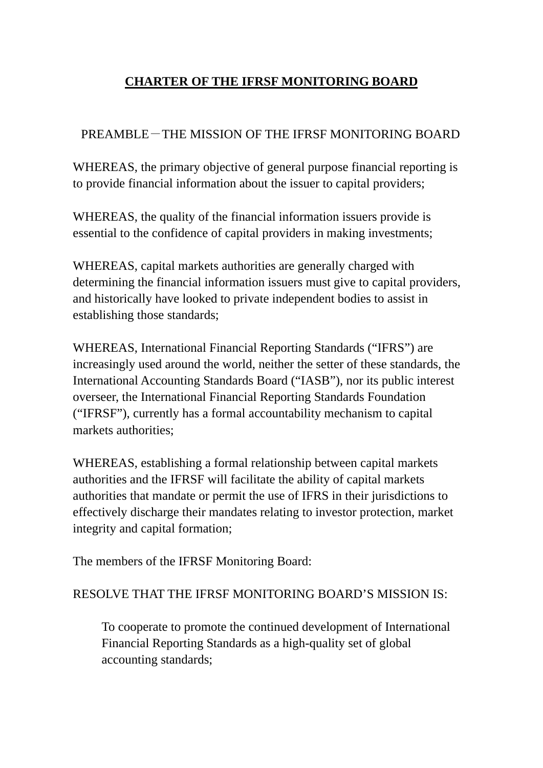# **CHARTER OF THE IFRSF MONITORING BOARD**

## PREAMBLE-THE MISSION OF THE IFRSF MONITORING BOARD

WHEREAS, the primary objective of general purpose financial reporting is to provide financial information about the issuer to capital providers;

WHEREAS, the quality of the financial information issuers provide is essential to the confidence of capital providers in making investments;

WHEREAS, capital markets authorities are generally charged with determining the financial information issuers must give to capital providers, and historically have looked to private independent bodies to assist in establishing those standards;

WHEREAS, International Financial Reporting Standards ("IFRS") are increasingly used around the world, neither the setter of these standards, the International Accounting Standards Board ("IASB"), nor its public interest overseer, the International Financial Reporting Standards Foundation ("IFRSF"), currently has a formal accountability mechanism to capital markets authorities;

WHEREAS, establishing a formal relationship between capital markets authorities and the IFRSF will facilitate the ability of capital markets authorities that mandate or permit the use of IFRS in their jurisdictions to effectively discharge their mandates relating to investor protection, market integrity and capital formation;

The members of the IFRSF Monitoring Board:

## RESOLVE THAT THE IFRSF MONITORING BOARD'S MISSION IS:

To cooperate to promote the continued development of International Financial Reporting Standards as a high-quality set of global accounting standards;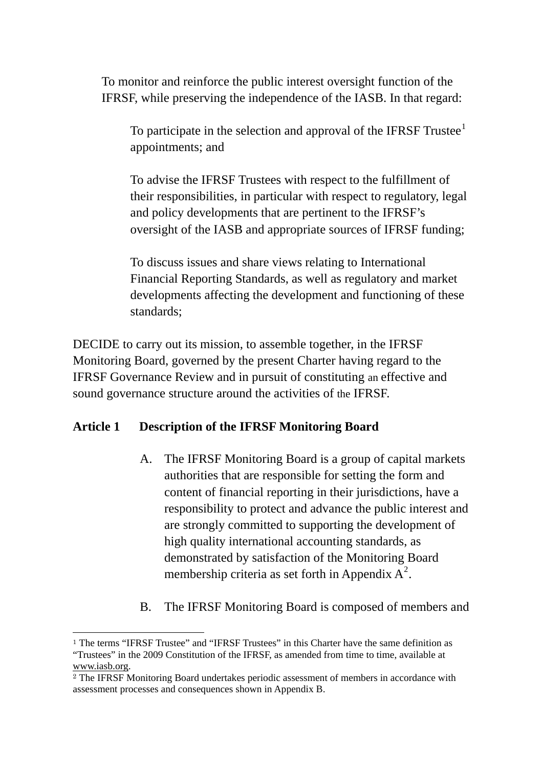To monitor and reinforce the public interest oversight function of the IFRSF, while preserving the independence of the IASB. In that regard:

To participate in the selection and approval of the IFRSF Trustee $<sup>1</sup>$  $<sup>1</sup>$  $<sup>1</sup>$ </sup> appointments; and

To advise the IFRSF Trustees with respect to the fulfillment of their responsibilities, in particular with respect to regulatory, legal and policy developments that are pertinent to the IFRSF's oversight of the IASB and appropriate sources of IFRSF funding;

To discuss issues and share views relating to International Financial Reporting Standards, as well as regulatory and market developments affecting the development and functioning of these standards;

DECIDE to carry out its mission, to assemble together, in the IFRSF Monitoring Board, governed by the present Charter having regard to the IFRSF Governance Review and in pursuit of constituting an effective and sound governance structure around the activities of the IFRSF.

## **Article 1 Description of the IFRSF Monitoring Board**

 $\overline{a}$ 

- A. The IFRSF Monitoring Board is a group of capital markets authorities that are responsible for setting the form and content of financial reporting in their jurisdictions, have a responsibility to protect and advance the public interest and are strongly committed to supporting the development of high quality international accounting standards, as demonstrated by satisfaction of the Monitoring Board membership criteria as set forth in Appendix  $A^2$  $A^2$ .
- B. The IFRSF Monitoring Board is composed of members and

<span id="page-1-0"></span><sup>1</sup> The terms "IFRSF Trustee" and "IFRSF Trustees" in this Charter have the same definition as "Trustees" in the 2009 Constitution of the IFRSF, as amended from time to time, available at www.iasb.org.

<span id="page-1-1"></span><sup>2</sup> The IFRSF Monitoring Board undertakes periodic assessment of members in accordance with assessment processes and consequences shown in Appendix B.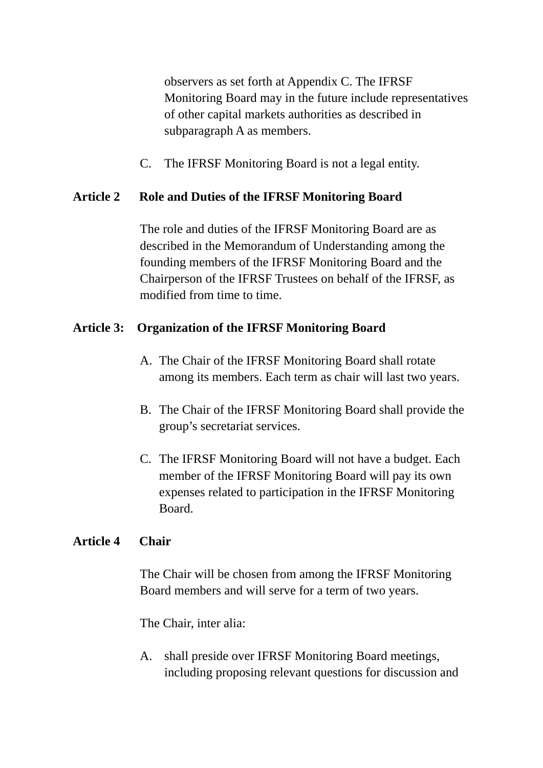observers as set forth at Appendix C. The IFRSF Monitoring Board may in the future include representatives of other capital markets authorities as described in subparagraph A as members.

C. The IFRSF Monitoring Board is not a legal entity.

# **Article 2 Role and Duties of the IFRSF Monitoring Board**

The role and duties of the IFRSF Monitoring Board are as described in the Memorandum of Understanding among the founding members of the IFRSF Monitoring Board and the Chairperson of the IFRSF Trustees on behalf of the IFRSF, as modified from time to time.

# **Article 3: Organization of the IFRSF Monitoring Board**

- A. The Chair of the IFRSF Monitoring Board shall rotate among its members. Each term as chair will last two years.
- B. The Chair of the IFRSF Monitoring Board shall provide the group's secretariat services.
- C. The IFRSF Monitoring Board will not have a budget. Each member of the IFRSF Monitoring Board will pay its own expenses related to participation in the IFRSF Monitoring Board.

# **Article 4 Chair**

The Chair will be chosen from among the IFRSF Monitoring Board members and will serve for a term of two years.

The Chair, inter alia:

A. shall preside over IFRSF Monitoring Board meetings, including proposing relevant questions for discussion and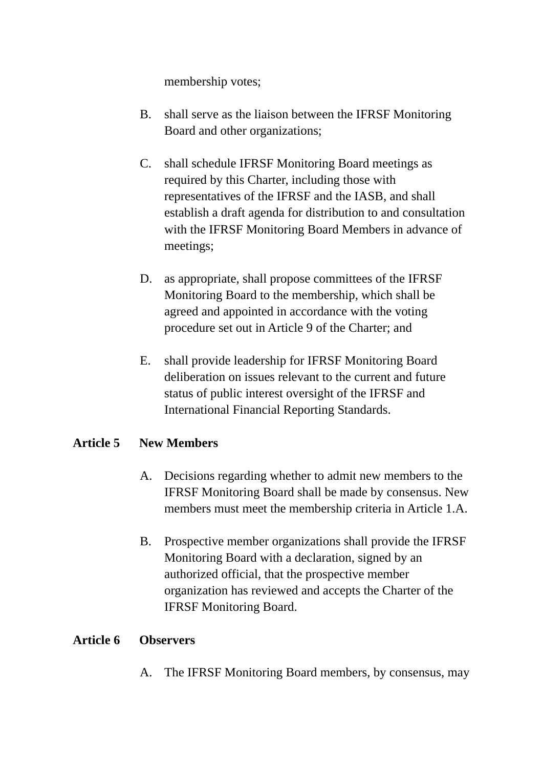membership votes;

- B. shall serve as the liaison between the IFRSF Monitoring Board and other organizations;
- C. shall schedule IFRSF Monitoring Board meetings as required by this Charter, including those with representatives of the IFRSF and the IASB, and shall establish a draft agenda for distribution to and consultation with the IFRSF Monitoring Board Members in advance of meetings;
- D. as appropriate, shall propose committees of the IFRSF Monitoring Board to the membership, which shall be agreed and appointed in accordance with the voting procedure set out in Article 9 of the Charter; and
- E. shall provide leadership for IFRSF Monitoring Board deliberation on issues relevant to the current and future status of public interest oversight of the IFRSF and International Financial Reporting Standards.

## **Article 5 New Members**

- A. Decisions regarding whether to admit new members to the IFRSF Monitoring Board shall be made by consensus. New members must meet the membership criteria in Article 1.A.
- B. Prospective member organizations shall provide the IFRSF Monitoring Board with a declaration, signed by an authorized official, that the prospective member organization has reviewed and accepts the Charter of the IFRSF Monitoring Board.

## **Article 6 Observers**

A. The IFRSF Monitoring Board members, by consensus, may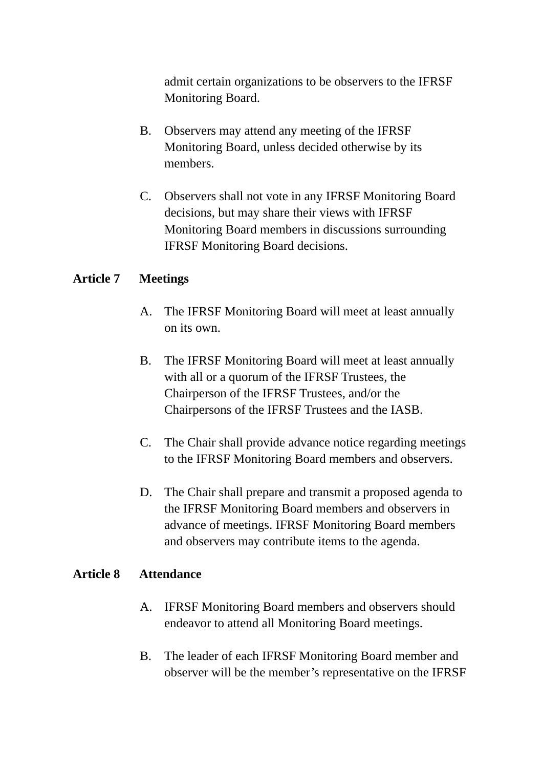admit certain organizations to be observers to the IFRSF Monitoring Board.

- B. Observers may attend any meeting of the IFRSF Monitoring Board, unless decided otherwise by its members.
- C. Observers shall not vote in any IFRSF Monitoring Board decisions, but may share their views with IFRSF Monitoring Board members in discussions surrounding IFRSF Monitoring Board decisions.

## **Article 7 Meetings**

- A. The IFRSF Monitoring Board will meet at least annually on its own.
- B. The IFRSF Monitoring Board will meet at least annually with all or a quorum of the IFRSF Trustees, the Chairperson of the IFRSF Trustees, and/or the Chairpersons of the IFRSF Trustees and the IASB.
- C. The Chair shall provide advance notice regarding meetings to the IFRSF Monitoring Board members and observers.
- D. The Chair shall prepare and transmit a proposed agenda to the IFRSF Monitoring Board members and observers in advance of meetings. IFRSF Monitoring Board members and observers may contribute items to the agenda.

## **Article 8 Attendance**

- A. IFRSF Monitoring Board members and observers should endeavor to attend all Monitoring Board meetings.
- B. The leader of each IFRSF Monitoring Board member and observer will be the member's representative on the IFRSF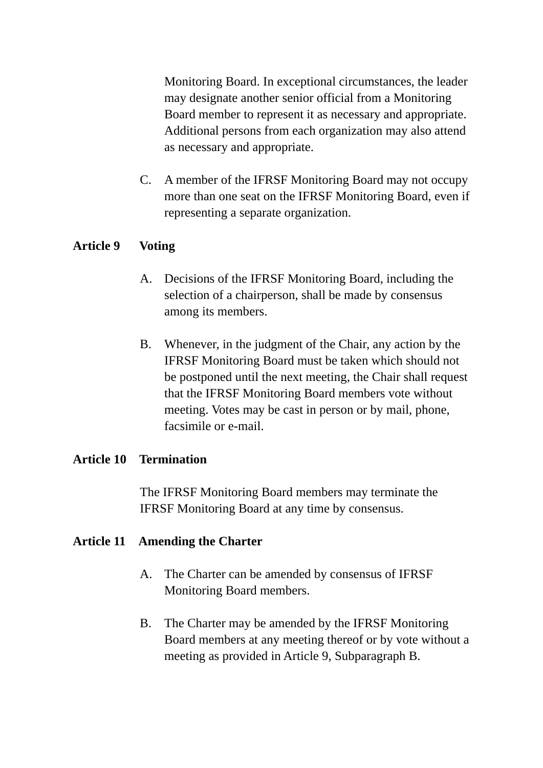Monitoring Board. In exceptional circumstances, the leader may designate another senior official from a Monitoring Board member to represent it as necessary and appropriate. Additional persons from each organization may also attend as necessary and appropriate.

C. A member of the IFRSF Monitoring Board may not occupy more than one seat on the IFRSF Monitoring Board, even if representing a separate organization.

## **Article 9 Voting**

- A. Decisions of the IFRSF Monitoring Board, including the selection of a chairperson, shall be made by consensus among its members.
- B. Whenever, in the judgment of the Chair, any action by the IFRSF Monitoring Board must be taken which should not be postponed until the next meeting, the Chair shall request that the IFRSF Monitoring Board members vote without meeting. Votes may be cast in person or by mail, phone, facsimile or e-mail.

## **Article 10 Termination**

The IFRSF Monitoring Board members may terminate the IFRSF Monitoring Board at any time by consensus.

## **Article 11 Amending the Charter**

- A. The Charter can be amended by consensus of IFRSF Monitoring Board members.
- B. The Charter may be amended by the IFRSF Monitoring Board members at any meeting thereof or by vote without a meeting as provided in Article 9, Subparagraph B.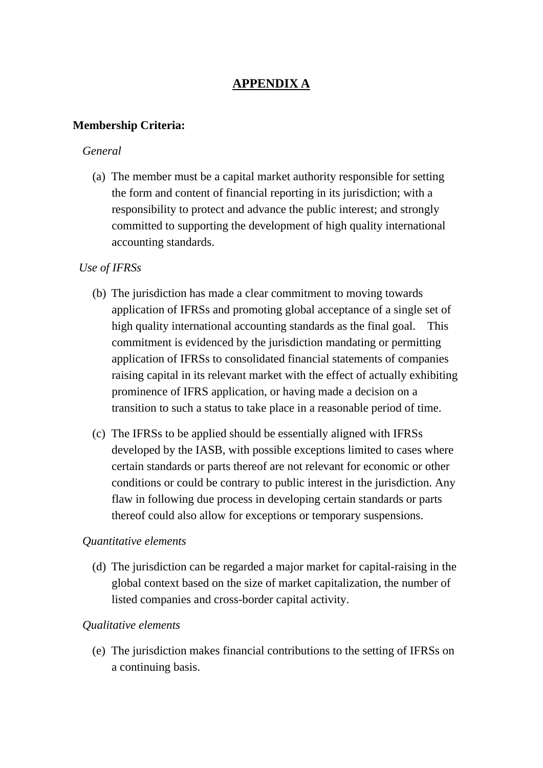# **APPENDIX A**

#### **Membership Criteria:**

#### *General*

(a) The member must be a capital market authority responsible for setting the form and content of financial reporting in its jurisdiction; with a responsibility to protect and advance the public interest; and strongly committed to supporting the development of high quality international accounting standards.

#### *Use of IFRSs*

- (b) The jurisdiction has made a clear commitment to moving towards application of IFRSs and promoting global acceptance of a single set of high quality international accounting standards as the final goal. This commitment is evidenced by the jurisdiction mandating or permitting application of IFRSs to consolidated financial statements of companies raising capital in its relevant market with the effect of actually exhibiting prominence of IFRS application, or having made a decision on a transition to such a status to take place in a reasonable period of time.
- (c) The IFRSs to be applied should be essentially aligned with IFRSs developed by the IASB, with possible exceptions limited to cases where certain standards or parts thereof are not relevant for economic or other conditions or could be contrary to public interest in the jurisdiction. Any flaw in following due process in developing certain standards or parts thereof could also allow for exceptions or temporary suspensions.

#### *Quantitative elements*

(d) The jurisdiction can be regarded a major market for capital-raising in the global context based on the size of market capitalization, the number of listed companies and cross-border capital activity.

#### *Qualitative elements*

(e) The jurisdiction makes financial contributions to the setting of IFRSs on a continuing basis.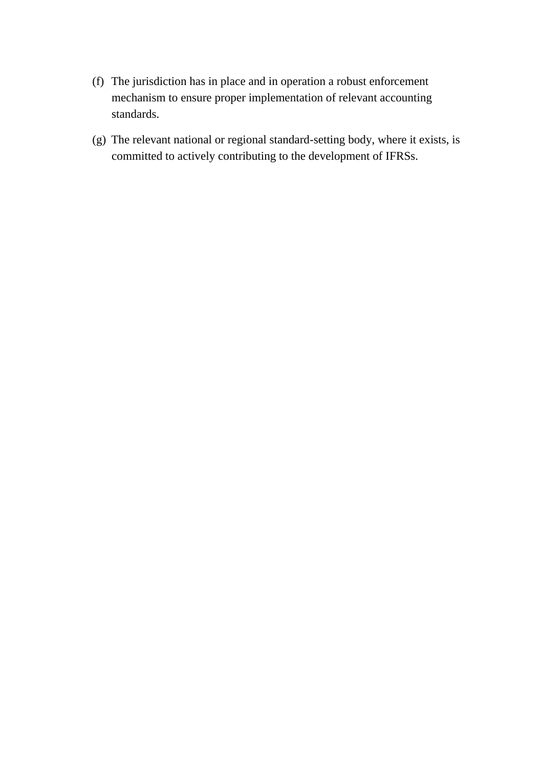- (f) The jurisdiction has in place and in operation a robust enforcement mechanism to ensure proper implementation of relevant accounting standards.
- (g) The relevant national or regional standard-setting body, where it exists, is committed to actively contributing to the development of IFRSs.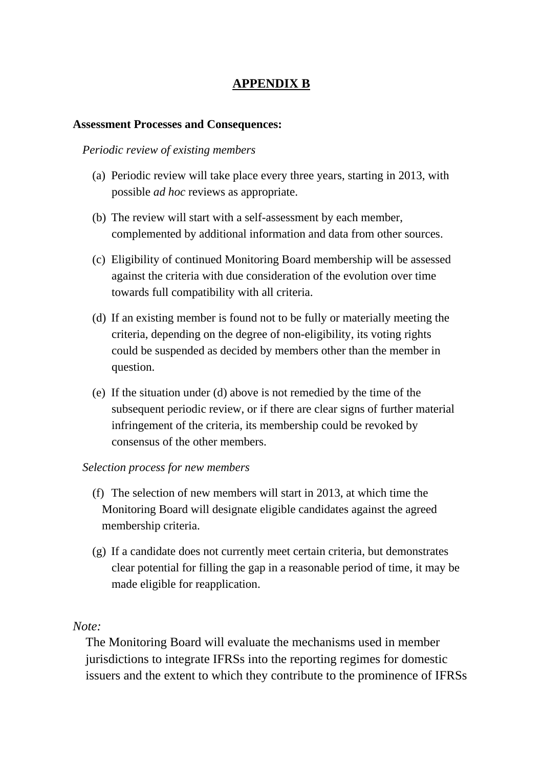## **APPENDIX B**

#### **Assessment Processes and Consequences:**

#### *Periodic review of existing members*

- (a) Periodic review will take place every three years, starting in 2013, with possible *ad hoc* reviews as appropriate.
- (b) The review will start with a self-assessment by each member, complemented by additional information and data from other sources.
- (c) Eligibility of continued Monitoring Board membership will be assessed against the criteria with due consideration of the evolution over time towards full compatibility with all criteria.
- (d) If an existing member is found not to be fully or materially meeting the criteria, depending on the degree of non-eligibility, its voting rights could be suspended as decided by members other than the member in question.
- (e) If the situation under (d) above is not remedied by the time of the subsequent periodic review, or if there are clear signs of further material infringement of the criteria, its membership could be revoked by consensus of the other members.

#### *Selection process for new members*

- (f) The selection of new members will start in 2013, at which time the Monitoring Board will designate eligible candidates against the agreed membership criteria.
- (g) If a candidate does not currently meet certain criteria, but demonstrates clear potential for filling the gap in a reasonable period of time, it may be made eligible for reapplication.

#### *Note:*

The Monitoring Board will evaluate the mechanisms used in member jurisdictions to integrate IFRSs into the reporting regimes for domestic issuers and the extent to which they contribute to the prominence of IFRSs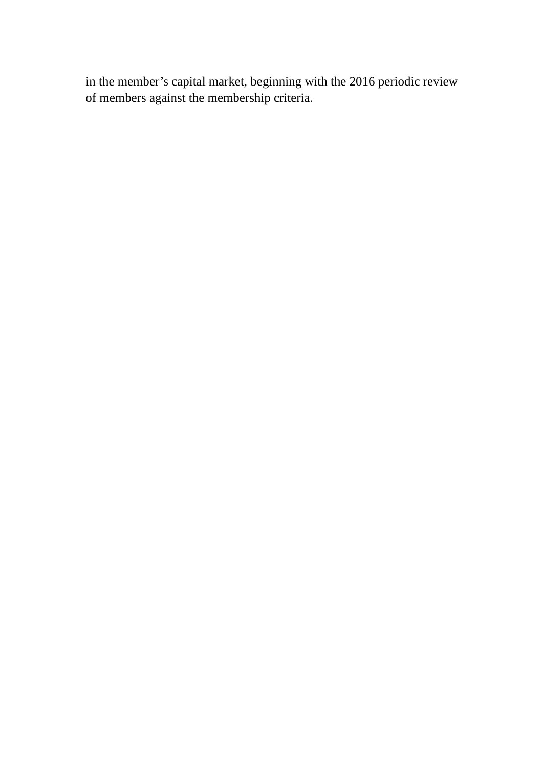in the member's capital market, beginning with the 2016 periodic review of members against the membership criteria.